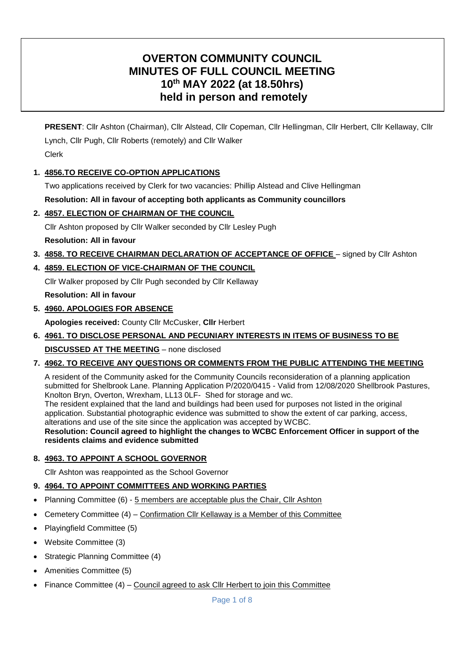# **OVERTON COMMUNITY COUNCIL MINUTES OF FULL COUNCIL MEETING 10th MAY 2022 (at 18.50hrs) held in person and remotely**

**PRESENT**: Cllr Ashton (Chairman), Cllr Alstead, Cllr Copeman, Cllr Hellingman, Cllr Herbert, Cllr Kellaway, Cllr Lynch, Cllr Pugh, Cllr Roberts (remotely) and Cllr Walker Clerk

### **1. 4856.TO RECEIVE CO-OPTION APPLICATIONS**

Two applications received by Clerk for two vacancies: Phillip Alstead and Clive Hellingman

### **Resolution: All in favour of accepting both applicants as Community councillors**

### **2. 4857. ELECTION OF CHAIRMAN OF THE COUNCIL**

Cllr Ashton proposed by Cllr Walker seconded by Cllr Lesley Pugh

### **Resolution: All in favour**

**3. 4858. TO RECEIVE CHAIRMAN DECLARATION OF ACCEPTANCE OF OFFICE** – signed by Cllr Ashton

### **4. 4859. ELECTION OF VICE-CHAIRMAN OF THE COUNCIL**

Cllr Walker proposed by Cllr Pugh seconded by Cllr Kellaway

**Resolution: All in favour**

**5. 4960. APOLOGIES FOR ABSENCE**

**Apologies received:** County Cllr McCusker, **Cllr** Herbert

**6. 4961. TO DISCLOSE PERSONAL AND PECUNIARY INTERESTS IN ITEMS OF BUSINESS TO BE** 

**DISCUSSED AT THE MEETING** – none disclosed

### **7. 4962. TO RECEIVE ANY QUESTIONS OR COMMENTS FROM THE PUBLIC ATTENDING THE MEETING**

A resident of the Community asked for the Community Councils reconsideration of a planning application submitted for Shelbrook Lane. Planning Application P/2020/0415 - Valid from 12/08/2020 Shellbrook Pastures, Knolton Bryn, Overton, Wrexham, LL13 0LF- Shed for storage and wc.

The resident explained that the land and buildings had been used for purposes not listed in the original application. Substantial photographic evidence was submitted to show the extent of car parking, access, alterations and use of the site since the application was accepted by WCBC.

**Resolution: Council agreed to highlight the changes to WCBC Enforcement Officer in support of the residents claims and evidence submitted**

### **8. 4963. TO APPOINT A SCHOOL GOVERNOR**

Cllr Ashton was reappointed as the School Governor

### **9. 4964. TO APPOINT COMMITTEES AND WORKING PARTIES**

- Planning Committee (6) 5 members are acceptable plus the Chair, Cllr Ashton
- Cemetery Committee (4) Confirmation Cllr Kellaway is a Member of this Committee
- Playingfield Committee (5)
- Website Committee (3)
- Strategic Planning Committee (4)
- Amenities Committee (5)
- Finance Committee (4) Council agreed to ask Cllr Herbert to join this Committee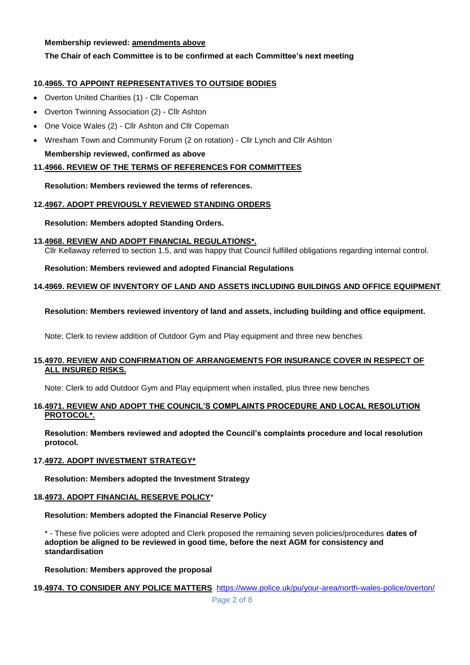#### **Membership reviewed: amendments above**

### **The Chair of each Committee is to be confirmed at each Committee's next meeting**

### **10.4965. TO APPOINT REPRESENTATIVES TO OUTSIDE BODIES**

- Overton United Charities (1) Cllr Copeman
- Overton Twinning Association (2) Cllr Ashton
- One Voice Wales (2) Cllr Ashton and Cllr Copeman
- Wrexham Town and Community Forum (2 on rotation) Cllr Lynch and Cllr Ashton **Membership reviewed, confirmed as above**

#### **11.4966. REVIEW OF THE TERMS OF REFERENCES FOR COMMITTEES**

#### **Resolution: Members reviewed the terms of references.**

#### **12.4967. ADOPT PREVIOUSLY REVIEWED STANDING ORDERS**

#### **Resolution: Members adopted Standing Orders.**

**13.4968. REVIEW AND ADOPT FINANCIAL REGULATIONS\*.** Cllr Kellaway referred to section 1.5, and was happy that Council fulfilled obligations regarding internal control.

**Resolution: Members reviewed and adopted Financial Regulations**

#### **14.4969. REVIEW OF INVENTORY OF LAND AND ASSETS INCLUDING BUILDINGS AND OFFICE EQUIPMENT**

#### **Resolution: Members reviewed inventory of land and assets, including building and office equipment.**

Note: Clerk to review addition of Outdoor Gym and Play equipment and three new benches

#### **15.4970. REVIEW AND CONFIRMATION OF ARRANGEMENTS FOR INSURANCE COVER IN RESPECT OF ALL INSURED RISKS.**

Note: Clerk to add Outdoor Gym and Play equipment when installed, plus three new benches

#### **16.4971. REVIEW AND ADOPT THE COUNCIL'S COMPLAINTS PROCEDURE AND LOCAL RESOLUTION PROTOCOL\*.**

**Resolution: Members reviewed and adopted the Council's complaints procedure and local resolution protocol.**

#### **17.4972. ADOPT INVESTMENT STRATEGY\***

**Resolution: Members adopted the Investment Strategy**

#### **18.4973. ADOPT FINANCIAL RESERVE POLICY**\*

**Resolution: Members adopted the Financial Reserve Policy**

\* - These five policies were adopted and Clerk proposed the remaining seven policies/procedures **dates of adoption be aligned to be reviewed in good time, before the next AGM for consistency and standardisation**

**Resolution: Members approved the proposal**

#### **19.4974. TO CONSIDER ANY POLICE MATTERS** <https://www.police.uk/pu/your-area/north-wales-police/overton/>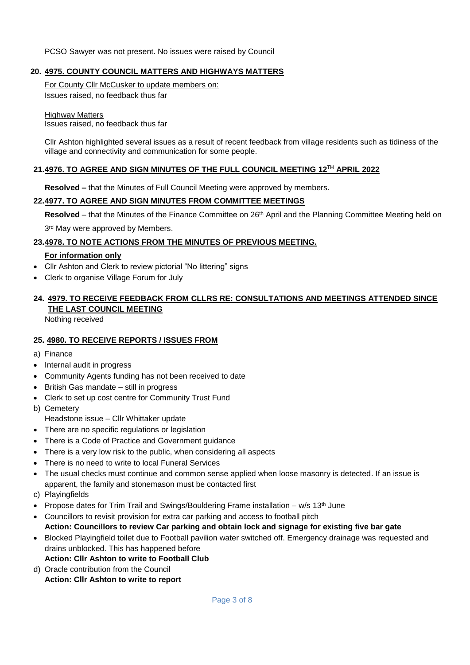PCSO Sawyer was not present. No issues were raised by Council

#### **20. 4975. COUNTY COUNCIL MATTERS AND HIGHWAYS MATTERS**

For County Cllr McCusker to update members on: Issues raised, no feedback thus far

Highway Matters

Issues raised, no feedback thus far

Cllr Ashton highlighted several issues as a result of recent feedback from village residents such as tidiness of the village and connectivity and communication for some people.

### **21.4976. TO AGREE AND SIGN MINUTES OF THE FULL COUNCIL MEETING 12TH APRIL 2022**

**Resolved –** that the Minutes of Full Council Meeting were approved by members.

#### **22.4977. TO AGREE AND SIGN MINUTES FROM COMMITTEE MEETINGS**

**Resolved** – that the Minutes of the Finance Committee on 26th April and the Planning Committee Meeting held on

3<sup>rd</sup> May were approved by Members.

#### **23.4978. TO NOTE ACTIONS FROM THE MINUTES OF PREVIOUS MEETING.**

#### **For information only**

- Cllr Ashton and Clerk to review pictorial "No littering" signs
- Clerk to organise Village Forum for July

# **24. 4979. TO RECEIVE FEEDBACK FROM CLLRS RE: CONSULTATIONS AND MEETINGS ATTENDED SINCE THE LAST COUNCIL MEETING**

Nothing received

#### **25. 4980. TO RECEIVE REPORTS / ISSUES FROM**

- a) Finance
- Internal audit in progress
- Community Agents funding has not been received to date
- British Gas mandate still in progress
- Clerk to set up cost centre for Community Trust Fund
- b) Cemetery
	- Headstone issue Cllr Whittaker update
- There are no specific regulations or legislation
- There is a Code of Practice and Government quidance
- There is a very low risk to the public, when considering all aspects
- There is no need to write to local Funeral Services
- The usual checks must continue and common sense applied when loose masonry is detected. If an issue is apparent, the family and stonemason must be contacted first
- c) Playingfields
- Propose dates for Trim Trail and Swings/Bouldering Frame installation  $w/s 13<sup>th</sup>$  June
- Councillors to revisit provision for extra car parking and access to football pitch **Action: Councillors to review Car parking and obtain lock and signage for existing five bar gate**
- Blocked Playingfield toilet due to Football pavilion water switched off. Emergency drainage was requested and drains unblocked. This has happened before **Action: Cllr Ashton to write to Football Club**
- d) Oracle contribution from the Council
	- **Action: Cllr Ashton to write to report**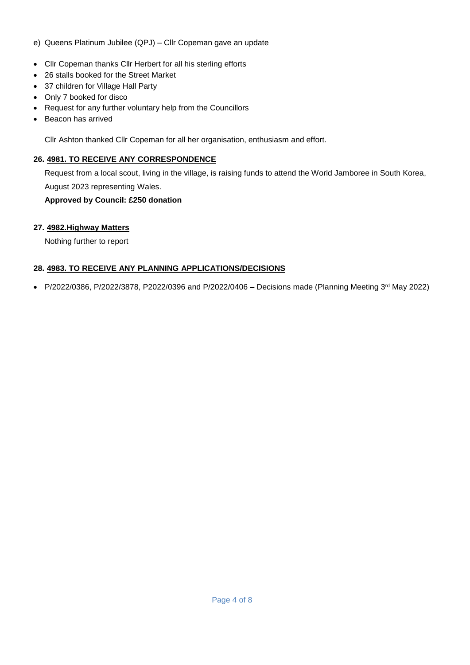### e) Queens Platinum Jubilee (QPJ) – Cllr Copeman gave an update

- Cllr Copeman thanks Cllr Herbert for all his sterling efforts
- 26 stalls booked for the Street Market
- 37 children for Village Hall Party
- Only 7 booked for disco
- Request for any further voluntary help from the Councillors
- Beacon has arrived

Cllr Ashton thanked Cllr Copeman for all her organisation, enthusiasm and effort.

### **26. 4981. TO RECEIVE ANY CORRESPONDENCE**

Request from a local scout, living in the village, is raising funds to attend the World Jamboree in South Korea, August 2023 representing Wales.

### **Approved by Council: £250 donation**

### **27. 4982.Highway Matters**

Nothing further to report

### **28. 4983. TO RECEIVE ANY PLANNING APPLICATIONS/DECISIONS**

• P/2022/0386, P/2022/3878, P2022/0396 and P/2022/0406 - Decisions made (Planning Meeting  $3^{rd}$  May 2022)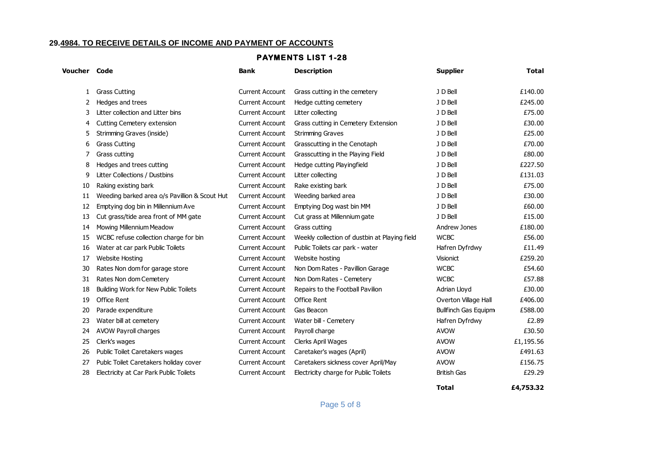#### **29.4984. TO RECEIVE DETAILS OF INCOME AND PAYMENT OF ACCOUNTS**

#### **PAYMENTS LIST 1-28**

| <b>Grass Cutting</b><br><b>Current Account</b><br>Grass cutting in the cemetery<br>J D Bell<br>£140.00<br>1<br>Hedges and trees<br>J D Bell<br>£245.00<br><b>Current Account</b><br>Hedge cutting cemetery<br>2<br>Litter collection and Litter bins<br>£75.00<br><b>Current Account</b><br>Litter collecting<br>J D Bell<br>3<br>£30.00<br><b>Current Account</b><br>Cutting Cemetery extension<br>Grass cutting in Cemetery Extension<br>J D Bell<br>4<br>£25.00<br>Strimming Graves (inside)<br><b>Current Account</b><br><b>Strimming Graves</b><br>J D Bell<br>5<br>Grasscutting in the Cenotaph<br>J D Bell<br>£70.00<br><b>Grass Cutting</b><br><b>Current Account</b><br>6<br>£80.00<br>Grass cutting<br><b>Current Account</b><br>Grasscutting in the Playing Field<br>J D Bell<br>7<br>£227.50<br>Hedges and trees cutting<br>J D Bell<br>8<br><b>Current Account</b><br>Hedge cutting Playingfield<br>£131.03<br>Litter Collections / Dustbins<br>9<br><b>Current Account</b><br>Litter collecting<br>J D Bell<br>Raking existing bark<br><b>Current Account</b><br>Rake existing bark<br>J D Bell<br>£75.00<br>10<br>Weeding barked area<br>£30.00<br>Weeding barked area o/s Pavillion & Scout Hut<br><b>Current Account</b><br>J D Bell<br>11<br>£60.00<br>Emptying dog bin in Millennium Ave<br><b>Current Account</b><br>Emptying Dog wast bin MM<br>J D Bell<br>12<br>Cut grass/tide area front of MM gate<br>Cut grass at Millennium gate<br>£15.00<br>13<br><b>Current Account</b><br>J D Bell<br>£180.00<br>Mowing Millennium Meadow<br><b>Current Account</b><br>Andrew Jones<br>Grass cutting<br>14<br><b>WCBC</b><br>£56.00<br>WCBC refuse collection charge for bin<br><b>Current Account</b><br>Weekly collection of dustbin at Playing field<br>15<br>£11.49<br>Water at car park Public Toilets<br><b>Current Account</b><br>Public Toilets car park - water<br>Hafren Dyfrdwy<br>16<br>£259.20<br>Website hosting<br>17<br><b>Website Hosting</b><br><b>Current Account</b><br>Visionict<br>£54.60<br><b>WCBC</b><br>30<br>Rates Non dom for garage store<br><b>Current Account</b><br>Non Dom Rates - Pavillion Garage<br><b>WCBC</b><br>£57.88<br>Rates Non dom Cemetery<br>Non Dom Rates - Cemetery<br><b>Current Account</b><br>31<br>Building Work for New Public Toilets<br>Repairs to the Football Pavilion<br>£30.00<br>18<br><b>Current Account</b><br>Adrian Lloyd<br><b>Office Rent</b><br><b>Current Account</b><br><b>Office Rent</b><br>Overton Village Hall<br>£406.00<br>19<br><b>Bullfinch Gas Equipm</b><br>£588.00<br>20<br>Parade expenditure<br><b>Current Account</b><br>Gas Beacon<br>Water bill - Cemetery<br>Water bill at cemetery<br><b>Current Account</b><br>Hafren Dyfrdwy<br>£2.89<br>23<br><b>AVOW</b><br>£30.50<br>AVOW Payroll charges<br><b>Current Account</b><br>Payroll charge<br>24<br>£1,195.56<br>Clerk's wages<br><b>Current Account</b><br>Clerks April Wages<br><b>AVOW</b><br>25<br>£491.63<br>Public Toilet Caretakers wages<br><b>Current Account</b><br>Caretaker's wages (April)<br><b>AVOW</b><br>26<br>£156.75<br>Publc Toilet Caretakers holiday cover<br><b>Current Account</b><br>Caretakers sickness cover April/May<br><b>AVOW</b><br>27<br>Electricity at Car Park Public Toilets<br>Electricity charge for Public Toilets<br><b>British Gas</b><br>£29.29<br>28<br><b>Current Account</b> | <b>Voucher Code</b> | <b>Bank</b> | <b>Description</b> | <b>Supplier</b> | <b>Total</b> |
|---------------------------------------------------------------------------------------------------------------------------------------------------------------------------------------------------------------------------------------------------------------------------------------------------------------------------------------------------------------------------------------------------------------------------------------------------------------------------------------------------------------------------------------------------------------------------------------------------------------------------------------------------------------------------------------------------------------------------------------------------------------------------------------------------------------------------------------------------------------------------------------------------------------------------------------------------------------------------------------------------------------------------------------------------------------------------------------------------------------------------------------------------------------------------------------------------------------------------------------------------------------------------------------------------------------------------------------------------------------------------------------------------------------------------------------------------------------------------------------------------------------------------------------------------------------------------------------------------------------------------------------------------------------------------------------------------------------------------------------------------------------------------------------------------------------------------------------------------------------------------------------------------------------------------------------------------------------------------------------------------------------------------------------------------------------------------------------------------------------------------------------------------------------------------------------------------------------------------------------------------------------------------------------------------------------------------------------------------------------------------------------------------------------------------------------------------------------------------------------------------------------------------------------------------------------------------------------------------------------------------------------------------------------------------------------------------------------------------------------------------------------------------------------------------------------------------------------------------------------------------------------------------------------------------------------------------------------------------------------------------------------------------------------------------------------------------------------------------------------------------------------------------------------------------------------------------------------------------------------------------------------------------------------------------------------------------------------------------------------------------------|---------------------|-------------|--------------------|-----------------|--------------|
|                                                                                                                                                                                                                                                                                                                                                                                                                                                                                                                                                                                                                                                                                                                                                                                                                                                                                                                                                                                                                                                                                                                                                                                                                                                                                                                                                                                                                                                                                                                                                                                                                                                                                                                                                                                                                                                                                                                                                                                                                                                                                                                                                                                                                                                                                                                                                                                                                                                                                                                                                                                                                                                                                                                                                                                                                                                                                                                                                                                                                                                                                                                                                                                                                                                                                                                                                                                 |                     |             |                    |                 |              |
|                                                                                                                                                                                                                                                                                                                                                                                                                                                                                                                                                                                                                                                                                                                                                                                                                                                                                                                                                                                                                                                                                                                                                                                                                                                                                                                                                                                                                                                                                                                                                                                                                                                                                                                                                                                                                                                                                                                                                                                                                                                                                                                                                                                                                                                                                                                                                                                                                                                                                                                                                                                                                                                                                                                                                                                                                                                                                                                                                                                                                                                                                                                                                                                                                                                                                                                                                                                 |                     |             |                    |                 |              |
|                                                                                                                                                                                                                                                                                                                                                                                                                                                                                                                                                                                                                                                                                                                                                                                                                                                                                                                                                                                                                                                                                                                                                                                                                                                                                                                                                                                                                                                                                                                                                                                                                                                                                                                                                                                                                                                                                                                                                                                                                                                                                                                                                                                                                                                                                                                                                                                                                                                                                                                                                                                                                                                                                                                                                                                                                                                                                                                                                                                                                                                                                                                                                                                                                                                                                                                                                                                 |                     |             |                    |                 |              |
|                                                                                                                                                                                                                                                                                                                                                                                                                                                                                                                                                                                                                                                                                                                                                                                                                                                                                                                                                                                                                                                                                                                                                                                                                                                                                                                                                                                                                                                                                                                                                                                                                                                                                                                                                                                                                                                                                                                                                                                                                                                                                                                                                                                                                                                                                                                                                                                                                                                                                                                                                                                                                                                                                                                                                                                                                                                                                                                                                                                                                                                                                                                                                                                                                                                                                                                                                                                 |                     |             |                    |                 |              |
|                                                                                                                                                                                                                                                                                                                                                                                                                                                                                                                                                                                                                                                                                                                                                                                                                                                                                                                                                                                                                                                                                                                                                                                                                                                                                                                                                                                                                                                                                                                                                                                                                                                                                                                                                                                                                                                                                                                                                                                                                                                                                                                                                                                                                                                                                                                                                                                                                                                                                                                                                                                                                                                                                                                                                                                                                                                                                                                                                                                                                                                                                                                                                                                                                                                                                                                                                                                 |                     |             |                    |                 |              |
|                                                                                                                                                                                                                                                                                                                                                                                                                                                                                                                                                                                                                                                                                                                                                                                                                                                                                                                                                                                                                                                                                                                                                                                                                                                                                                                                                                                                                                                                                                                                                                                                                                                                                                                                                                                                                                                                                                                                                                                                                                                                                                                                                                                                                                                                                                                                                                                                                                                                                                                                                                                                                                                                                                                                                                                                                                                                                                                                                                                                                                                                                                                                                                                                                                                                                                                                                                                 |                     |             |                    |                 |              |
|                                                                                                                                                                                                                                                                                                                                                                                                                                                                                                                                                                                                                                                                                                                                                                                                                                                                                                                                                                                                                                                                                                                                                                                                                                                                                                                                                                                                                                                                                                                                                                                                                                                                                                                                                                                                                                                                                                                                                                                                                                                                                                                                                                                                                                                                                                                                                                                                                                                                                                                                                                                                                                                                                                                                                                                                                                                                                                                                                                                                                                                                                                                                                                                                                                                                                                                                                                                 |                     |             |                    |                 |              |
|                                                                                                                                                                                                                                                                                                                                                                                                                                                                                                                                                                                                                                                                                                                                                                                                                                                                                                                                                                                                                                                                                                                                                                                                                                                                                                                                                                                                                                                                                                                                                                                                                                                                                                                                                                                                                                                                                                                                                                                                                                                                                                                                                                                                                                                                                                                                                                                                                                                                                                                                                                                                                                                                                                                                                                                                                                                                                                                                                                                                                                                                                                                                                                                                                                                                                                                                                                                 |                     |             |                    |                 |              |
|                                                                                                                                                                                                                                                                                                                                                                                                                                                                                                                                                                                                                                                                                                                                                                                                                                                                                                                                                                                                                                                                                                                                                                                                                                                                                                                                                                                                                                                                                                                                                                                                                                                                                                                                                                                                                                                                                                                                                                                                                                                                                                                                                                                                                                                                                                                                                                                                                                                                                                                                                                                                                                                                                                                                                                                                                                                                                                                                                                                                                                                                                                                                                                                                                                                                                                                                                                                 |                     |             |                    |                 |              |
|                                                                                                                                                                                                                                                                                                                                                                                                                                                                                                                                                                                                                                                                                                                                                                                                                                                                                                                                                                                                                                                                                                                                                                                                                                                                                                                                                                                                                                                                                                                                                                                                                                                                                                                                                                                                                                                                                                                                                                                                                                                                                                                                                                                                                                                                                                                                                                                                                                                                                                                                                                                                                                                                                                                                                                                                                                                                                                                                                                                                                                                                                                                                                                                                                                                                                                                                                                                 |                     |             |                    |                 |              |
|                                                                                                                                                                                                                                                                                                                                                                                                                                                                                                                                                                                                                                                                                                                                                                                                                                                                                                                                                                                                                                                                                                                                                                                                                                                                                                                                                                                                                                                                                                                                                                                                                                                                                                                                                                                                                                                                                                                                                                                                                                                                                                                                                                                                                                                                                                                                                                                                                                                                                                                                                                                                                                                                                                                                                                                                                                                                                                                                                                                                                                                                                                                                                                                                                                                                                                                                                                                 |                     |             |                    |                 |              |
|                                                                                                                                                                                                                                                                                                                                                                                                                                                                                                                                                                                                                                                                                                                                                                                                                                                                                                                                                                                                                                                                                                                                                                                                                                                                                                                                                                                                                                                                                                                                                                                                                                                                                                                                                                                                                                                                                                                                                                                                                                                                                                                                                                                                                                                                                                                                                                                                                                                                                                                                                                                                                                                                                                                                                                                                                                                                                                                                                                                                                                                                                                                                                                                                                                                                                                                                                                                 |                     |             |                    |                 |              |
|                                                                                                                                                                                                                                                                                                                                                                                                                                                                                                                                                                                                                                                                                                                                                                                                                                                                                                                                                                                                                                                                                                                                                                                                                                                                                                                                                                                                                                                                                                                                                                                                                                                                                                                                                                                                                                                                                                                                                                                                                                                                                                                                                                                                                                                                                                                                                                                                                                                                                                                                                                                                                                                                                                                                                                                                                                                                                                                                                                                                                                                                                                                                                                                                                                                                                                                                                                                 |                     |             |                    |                 |              |
|                                                                                                                                                                                                                                                                                                                                                                                                                                                                                                                                                                                                                                                                                                                                                                                                                                                                                                                                                                                                                                                                                                                                                                                                                                                                                                                                                                                                                                                                                                                                                                                                                                                                                                                                                                                                                                                                                                                                                                                                                                                                                                                                                                                                                                                                                                                                                                                                                                                                                                                                                                                                                                                                                                                                                                                                                                                                                                                                                                                                                                                                                                                                                                                                                                                                                                                                                                                 |                     |             |                    |                 |              |
|                                                                                                                                                                                                                                                                                                                                                                                                                                                                                                                                                                                                                                                                                                                                                                                                                                                                                                                                                                                                                                                                                                                                                                                                                                                                                                                                                                                                                                                                                                                                                                                                                                                                                                                                                                                                                                                                                                                                                                                                                                                                                                                                                                                                                                                                                                                                                                                                                                                                                                                                                                                                                                                                                                                                                                                                                                                                                                                                                                                                                                                                                                                                                                                                                                                                                                                                                                                 |                     |             |                    |                 |              |
|                                                                                                                                                                                                                                                                                                                                                                                                                                                                                                                                                                                                                                                                                                                                                                                                                                                                                                                                                                                                                                                                                                                                                                                                                                                                                                                                                                                                                                                                                                                                                                                                                                                                                                                                                                                                                                                                                                                                                                                                                                                                                                                                                                                                                                                                                                                                                                                                                                                                                                                                                                                                                                                                                                                                                                                                                                                                                                                                                                                                                                                                                                                                                                                                                                                                                                                                                                                 |                     |             |                    |                 |              |
|                                                                                                                                                                                                                                                                                                                                                                                                                                                                                                                                                                                                                                                                                                                                                                                                                                                                                                                                                                                                                                                                                                                                                                                                                                                                                                                                                                                                                                                                                                                                                                                                                                                                                                                                                                                                                                                                                                                                                                                                                                                                                                                                                                                                                                                                                                                                                                                                                                                                                                                                                                                                                                                                                                                                                                                                                                                                                                                                                                                                                                                                                                                                                                                                                                                                                                                                                                                 |                     |             |                    |                 |              |
|                                                                                                                                                                                                                                                                                                                                                                                                                                                                                                                                                                                                                                                                                                                                                                                                                                                                                                                                                                                                                                                                                                                                                                                                                                                                                                                                                                                                                                                                                                                                                                                                                                                                                                                                                                                                                                                                                                                                                                                                                                                                                                                                                                                                                                                                                                                                                                                                                                                                                                                                                                                                                                                                                                                                                                                                                                                                                                                                                                                                                                                                                                                                                                                                                                                                                                                                                                                 |                     |             |                    |                 |              |
|                                                                                                                                                                                                                                                                                                                                                                                                                                                                                                                                                                                                                                                                                                                                                                                                                                                                                                                                                                                                                                                                                                                                                                                                                                                                                                                                                                                                                                                                                                                                                                                                                                                                                                                                                                                                                                                                                                                                                                                                                                                                                                                                                                                                                                                                                                                                                                                                                                                                                                                                                                                                                                                                                                                                                                                                                                                                                                                                                                                                                                                                                                                                                                                                                                                                                                                                                                                 |                     |             |                    |                 |              |
|                                                                                                                                                                                                                                                                                                                                                                                                                                                                                                                                                                                                                                                                                                                                                                                                                                                                                                                                                                                                                                                                                                                                                                                                                                                                                                                                                                                                                                                                                                                                                                                                                                                                                                                                                                                                                                                                                                                                                                                                                                                                                                                                                                                                                                                                                                                                                                                                                                                                                                                                                                                                                                                                                                                                                                                                                                                                                                                                                                                                                                                                                                                                                                                                                                                                                                                                                                                 |                     |             |                    |                 |              |
|                                                                                                                                                                                                                                                                                                                                                                                                                                                                                                                                                                                                                                                                                                                                                                                                                                                                                                                                                                                                                                                                                                                                                                                                                                                                                                                                                                                                                                                                                                                                                                                                                                                                                                                                                                                                                                                                                                                                                                                                                                                                                                                                                                                                                                                                                                                                                                                                                                                                                                                                                                                                                                                                                                                                                                                                                                                                                                                                                                                                                                                                                                                                                                                                                                                                                                                                                                                 |                     |             |                    |                 |              |
|                                                                                                                                                                                                                                                                                                                                                                                                                                                                                                                                                                                                                                                                                                                                                                                                                                                                                                                                                                                                                                                                                                                                                                                                                                                                                                                                                                                                                                                                                                                                                                                                                                                                                                                                                                                                                                                                                                                                                                                                                                                                                                                                                                                                                                                                                                                                                                                                                                                                                                                                                                                                                                                                                                                                                                                                                                                                                                                                                                                                                                                                                                                                                                                                                                                                                                                                                                                 |                     |             |                    |                 |              |
|                                                                                                                                                                                                                                                                                                                                                                                                                                                                                                                                                                                                                                                                                                                                                                                                                                                                                                                                                                                                                                                                                                                                                                                                                                                                                                                                                                                                                                                                                                                                                                                                                                                                                                                                                                                                                                                                                                                                                                                                                                                                                                                                                                                                                                                                                                                                                                                                                                                                                                                                                                                                                                                                                                                                                                                                                                                                                                                                                                                                                                                                                                                                                                                                                                                                                                                                                                                 |                     |             |                    |                 |              |
|                                                                                                                                                                                                                                                                                                                                                                                                                                                                                                                                                                                                                                                                                                                                                                                                                                                                                                                                                                                                                                                                                                                                                                                                                                                                                                                                                                                                                                                                                                                                                                                                                                                                                                                                                                                                                                                                                                                                                                                                                                                                                                                                                                                                                                                                                                                                                                                                                                                                                                                                                                                                                                                                                                                                                                                                                                                                                                                                                                                                                                                                                                                                                                                                                                                                                                                                                                                 |                     |             |                    |                 |              |
|                                                                                                                                                                                                                                                                                                                                                                                                                                                                                                                                                                                                                                                                                                                                                                                                                                                                                                                                                                                                                                                                                                                                                                                                                                                                                                                                                                                                                                                                                                                                                                                                                                                                                                                                                                                                                                                                                                                                                                                                                                                                                                                                                                                                                                                                                                                                                                                                                                                                                                                                                                                                                                                                                                                                                                                                                                                                                                                                                                                                                                                                                                                                                                                                                                                                                                                                                                                 |                     |             |                    |                 |              |
|                                                                                                                                                                                                                                                                                                                                                                                                                                                                                                                                                                                                                                                                                                                                                                                                                                                                                                                                                                                                                                                                                                                                                                                                                                                                                                                                                                                                                                                                                                                                                                                                                                                                                                                                                                                                                                                                                                                                                                                                                                                                                                                                                                                                                                                                                                                                                                                                                                                                                                                                                                                                                                                                                                                                                                                                                                                                                                                                                                                                                                                                                                                                                                                                                                                                                                                                                                                 |                     |             |                    |                 |              |
|                                                                                                                                                                                                                                                                                                                                                                                                                                                                                                                                                                                                                                                                                                                                                                                                                                                                                                                                                                                                                                                                                                                                                                                                                                                                                                                                                                                                                                                                                                                                                                                                                                                                                                                                                                                                                                                                                                                                                                                                                                                                                                                                                                                                                                                                                                                                                                                                                                                                                                                                                                                                                                                                                                                                                                                                                                                                                                                                                                                                                                                                                                                                                                                                                                                                                                                                                                                 |                     |             |                    |                 |              |
|                                                                                                                                                                                                                                                                                                                                                                                                                                                                                                                                                                                                                                                                                                                                                                                                                                                                                                                                                                                                                                                                                                                                                                                                                                                                                                                                                                                                                                                                                                                                                                                                                                                                                                                                                                                                                                                                                                                                                                                                                                                                                                                                                                                                                                                                                                                                                                                                                                                                                                                                                                                                                                                                                                                                                                                                                                                                                                                                                                                                                                                                                                                                                                                                                                                                                                                                                                                 |                     |             |                    |                 |              |

Page 5 of 8

**Total**

**£4,753.32**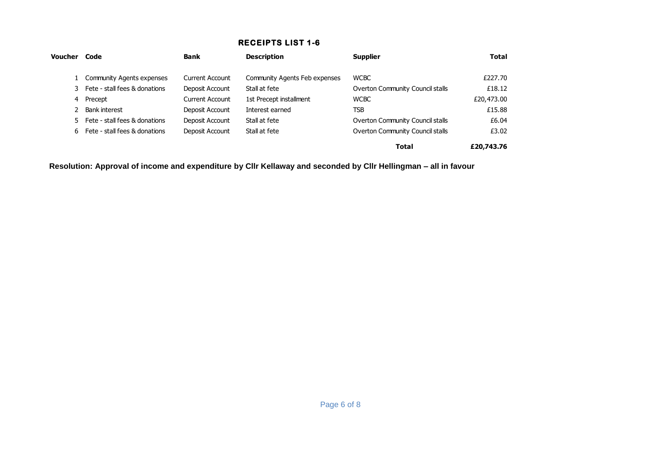# **RECEIPTS LIST 1-6**

| Voucher       | Code                             | <b>Bank</b>            | <b>Description</b>            | <b>Supplier</b>                  | <b>Total</b> |
|---------------|----------------------------------|------------------------|-------------------------------|----------------------------------|--------------|
|               | <b>Community Agents expenses</b> | Current Account        | Community Agents Feb expenses | <b>WCBC</b>                      | £227.70      |
|               | 3 Fete - stall fees & donations  | Deposit Account        | Stall at fete                 | Overton Community Council stalls | £18.12       |
| 4             | Precept                          | <b>Current Account</b> | 1st Precept installment       | <b>WCBC</b>                      | £20,473.00   |
| $\mathcal{P}$ | <b>Bank interest</b>             | Deposit Account        | Interest earned               | TSB                              | £15.88       |
|               | 5 Fete - stall fees & donations  | Deposit Account        | Stall at fete                 | Overton Community Council stalls | £6.04        |
| 6             | Fete - stall fees & donations    | Deposit Account        | Stall at fete                 | Overton Community Council stalls | £3.02        |
|               |                                  |                        |                               | <b>Total</b>                     | £20,743.76   |

**Resolution: Approval of income and expenditure by Cllr Kellaway and seconded by Cllr Hellingman – all in favour**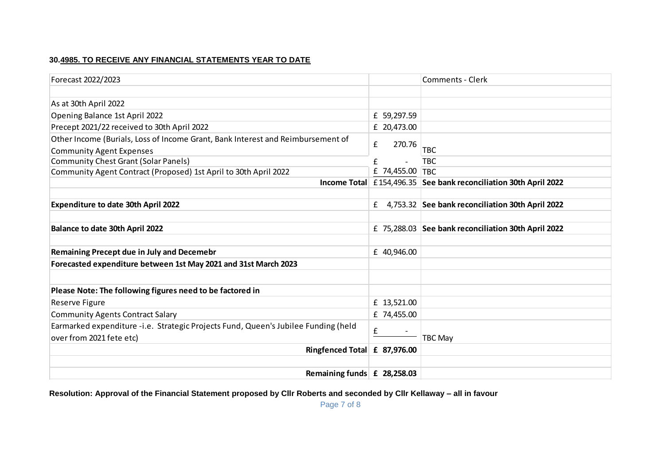### **30.4985. TO RECEIVE ANY FINANCIAL STATEMENTS YEAR TO DATE**

| Forecast 2022/2023                                                                 |                 | <b>Comments - Clerk</b>                                          |
|------------------------------------------------------------------------------------|-----------------|------------------------------------------------------------------|
|                                                                                    |                 |                                                                  |
| As at 30th April 2022                                                              |                 |                                                                  |
| Opening Balance 1st April 2022                                                     | £ 59,297.59     |                                                                  |
| Precept 2021/22 received to 30th April 2022                                        | £ 20,473.00     |                                                                  |
| Other Income (Burials, Loss of Income Grant, Bank Interest and Reimbursement of    |                 |                                                                  |
| <b>Community Agent Expenses</b>                                                    | £<br>270.76     | <b>TBC</b>                                                       |
| <b>Community Chest Grant (Solar Panels)</b>                                        | £               | <b>TBC</b>                                                       |
| Community Agent Contract (Proposed) 1st April to 30th April 2022                   | £ 74,455.00 TBC |                                                                  |
|                                                                                    |                 | Income Total £154,496.35 See bank reconciliation 30th April 2022 |
|                                                                                    |                 |                                                                  |
| <b>Expenditure to date 30th April 2022</b>                                         |                 | £ 4,753.32 See bank reconciliation 30th April 2022               |
|                                                                                    |                 |                                                                  |
| Balance to date 30th April 2022                                                    |                 | £ 75,288.03 See bank reconciliation 30th April 2022              |
|                                                                                    |                 |                                                                  |
| <b>Remaining Precept due in July and Decemebr</b>                                  | £ 40,946.00     |                                                                  |
| Forecasted expenditure between 1st May 2021 and 31st March 2023                    |                 |                                                                  |
|                                                                                    |                 |                                                                  |
| Please Note: The following figures need to be factored in                          |                 |                                                                  |
| Reserve Figure                                                                     | £ 13,521.00     |                                                                  |
| <b>Community Agents Contract Salary</b>                                            | £ 74,455.00     |                                                                  |
| Earmarked expenditure -i.e. Strategic Projects Fund, Queen's Jubilee Funding (held |                 |                                                                  |
| over from 2021 fete etc)                                                           | £               | TBC May                                                          |
| Ringfenced Total £ 87,976.00                                                       |                 |                                                                  |
|                                                                                    |                 |                                                                  |
| Remaining funds $\mathbf{f}$ 28,258.03                                             |                 |                                                                  |

**Resolution: Approval of the Financial Statement proposed by Cllr Roberts and seconded by Cllr Kellaway – all in favour**

Page 7 of 8